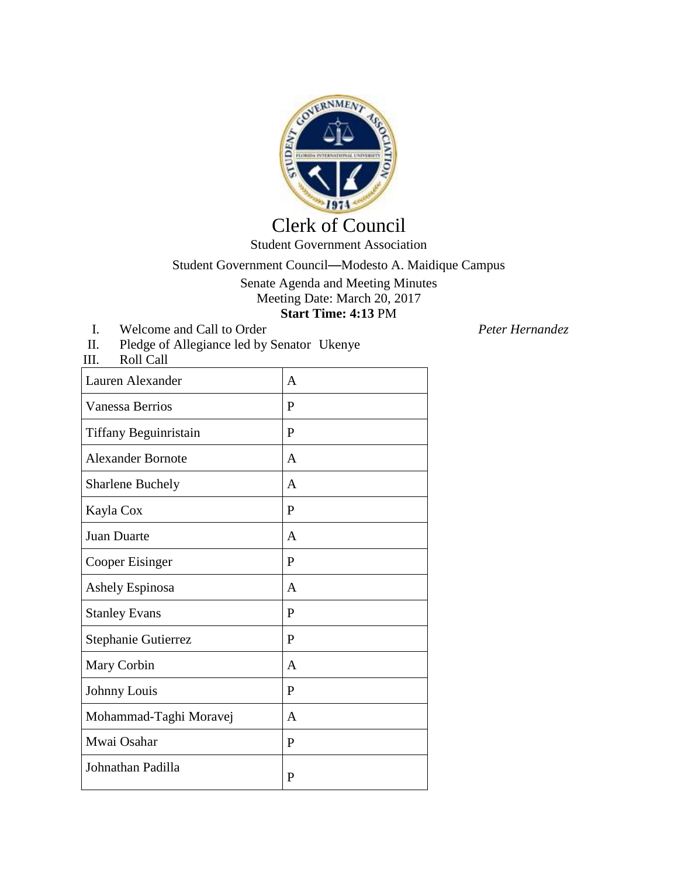

## Clerk of Council Student Government Association

## Student Government Council—Modesto A. Maidique Campus

Senate Agenda and Meeting Minutes Meeting Date: March 20, 2017 **Start Time: 4:13** PM

I. Welcome and Call to Order *Peter Hernandez*<br>II. Pledge of Allegiance led by Senator Ukenye Pledge of Allegiance led by Senator Ukenye

III. Roll Call

| Lauren Alexander         | A            |
|--------------------------|--------------|
| <b>Vanessa Berrios</b>   | P            |
| Tiffany Beguinristain    | P            |
| <b>Alexander Bornote</b> | A            |
| <b>Sharlene Buchely</b>  | A            |
| Kayla Cox                | P            |
| <b>Juan Duarte</b>       | $\mathsf{A}$ |
| Cooper Eisinger          | P            |
| Ashely Espinosa          | A            |
| <b>Stanley Evans</b>     | P            |
| Stephanie Gutierrez      | P            |
| Mary Corbin              | A            |
| Johnny Louis             | P            |
| Mohammad-Taghi Moravej   | $\mathbf{A}$ |
| Mwai Osahar              | P            |
| Johnathan Padilla        | $\mathbf{P}$ |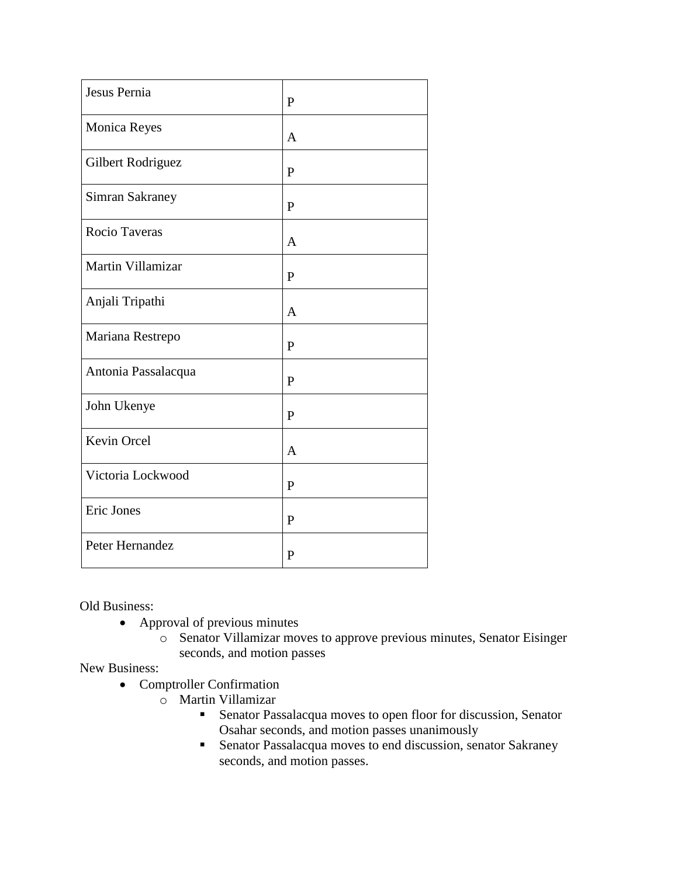| Jesus Pernia        | P            |
|---------------------|--------------|
| Monica Reyes        | $\mathbf{A}$ |
| Gilbert Rodriguez   | $\mathbf{P}$ |
| Simran Sakraney     | P            |
| Rocio Taveras       | $\mathbf{A}$ |
| Martin Villamizar   | $\mathbf{P}$ |
| Anjali Tripathi     | A            |
| Mariana Restrepo    | $\mathbf{P}$ |
| Antonia Passalacqua | $\mathbf{P}$ |
| John Ukenye         | $\mathbf{P}$ |
| Kevin Orcel         | $\mathbf{A}$ |
| Victoria Lockwood   | $\mathbf{P}$ |
| Eric Jones          | $\mathbf{P}$ |
| Peter Hernandez     | $\mathbf{P}$ |

Old Business:

- Approval of previous minutes
	- o Senator Villamizar moves to approve previous minutes, Senator Eisinger seconds, and motion passes

New Business:

- Comptroller Confirmation
	- o Martin Villamizar
		- Senator Passalacqua moves to open floor for discussion, Senator Osahar seconds, and motion passes unanimously
		- Senator Passalacqua moves to end discussion, senator Sakraney seconds, and motion passes.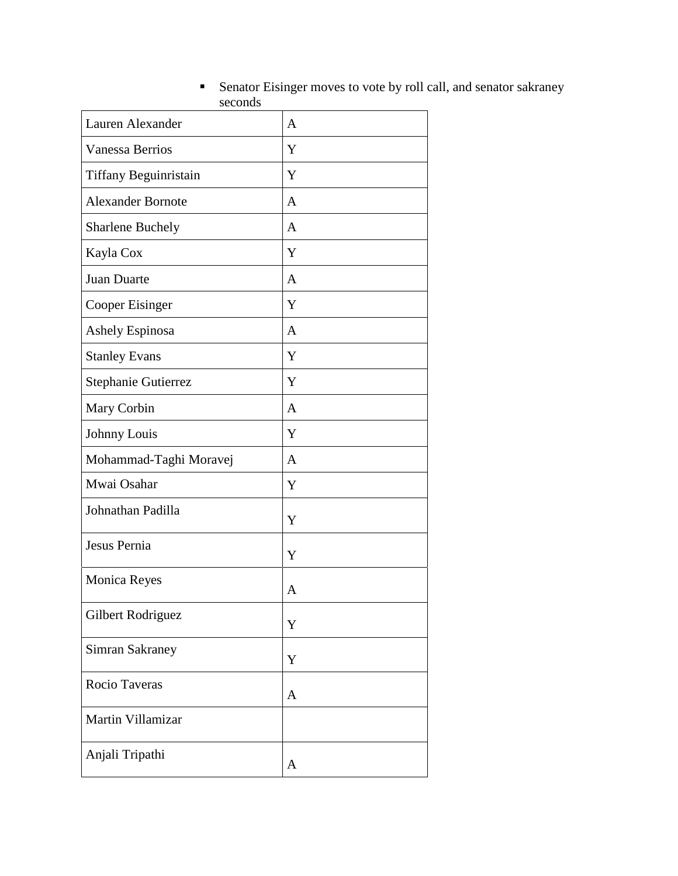| Lauren Alexander         | A |
|--------------------------|---|
| <b>Vanessa Berrios</b>   | Y |
| Tiffany Beguinristain    | Y |
| <b>Alexander Bornote</b> | A |
| <b>Sharlene Buchely</b>  | A |
| Kayla Cox                | Y |
| Juan Duarte              | A |
| Cooper Eisinger          | Y |
| Ashely Espinosa          | A |
| <b>Stanley Evans</b>     | Y |
| Stephanie Gutierrez      | Y |
| Mary Corbin              | A |
| Johnny Louis             | Y |
| Mohammad-Taghi Moravej   | A |
| Mwai Osahar              | Y |
| Johnathan Padilla        | Y |
| Jesus Pernia             | Y |
| <b>Monica Reyes</b>      | A |
| Gilbert Rodriguez        | Y |
| Simran Sakraney          | Y |
| Rocio Taveras            | A |
| Martin Villamizar        |   |
| Anjali Tripathi          | A |

## Senator Eisinger moves to vote by roll call, and senator sakraney seconds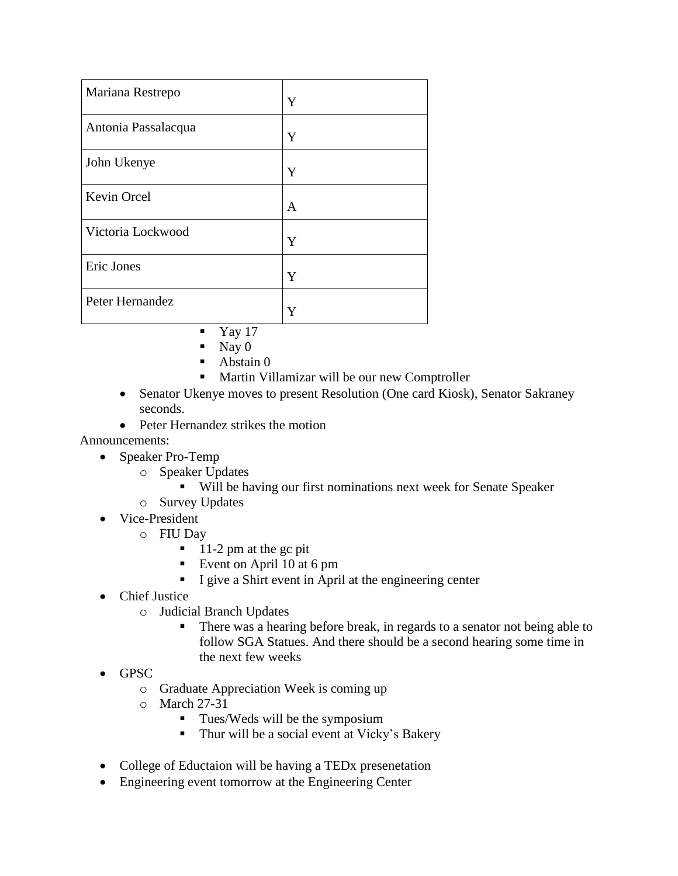| Mariana Restrepo    | Y |
|---------------------|---|
| Antonia Passalacqua | Y |
| John Ukenye         | Y |
| Kevin Orcel         | A |
| Victoria Lockwood   | Y |
| Eric Jones          | Y |
| Peter Hernandez     |   |

- Yay 17
- $\blacksquare$  Nay 0
- Abstain 0
- Martin Villamizar will be our new Comptroller
- Senator Ukenye moves to present Resolution (One card Kiosk), Senator Sakraney seconds.
- Peter Hernandez strikes the motion

Announcements:

- Speaker Pro-Temp
	- o Speaker Updates
		- Will be having our first nominations next week for Senate Speaker
	- o Survey Updates
- Vice-President
	- o FIU Day
		- $11-2$  pm at the gc pit
		- Event on April 10 at 6 pm
		- I give a Shirt event in April at the engineering center
- Chief Justice
	- o Judicial Branch Updates
		- There was a hearing before break, in regards to a senator not being able to follow SGA Statues. And there should be a second hearing some time in the next few weeks
- GPSC
	- o Graduate Appreciation Week is coming up
	- o March 27-31
		- $\blacksquare$  Tues/Weds will be the symposium
		- Thur will be a social event at Vicky's Bakery
- College of Eductaion will be having a TED<sub>x</sub> presenetation
- Engineering event tomorrow at the Engineering Center